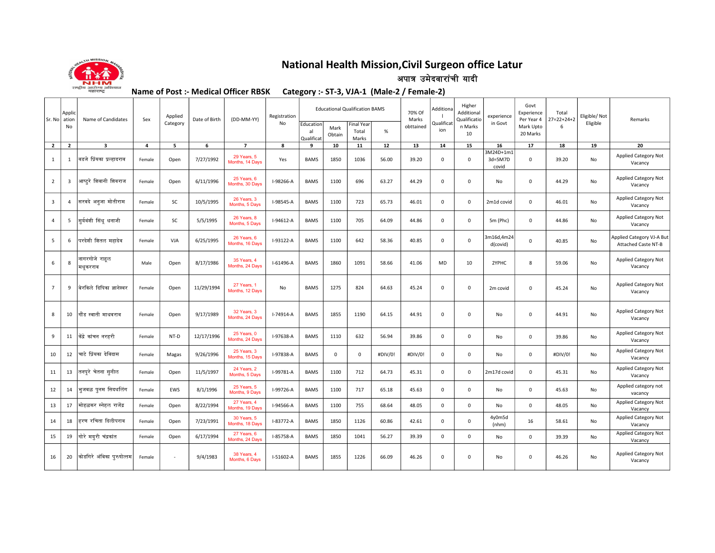

# National Health Mission,Civil Surgeon office Latur

अपात्र उमेदवारांची यादी

Name of Post :- Medical Officer RBSK Category :- ST-3, VJA-1 (Male-2 / Female-2)

| Sr. No         | Applic<br>ation | Name of Candidates        | Sex            | Applied  | Date of Birth | (DD-MM-YY)                     | Registration |                               | <b>Educational Qualification BAMS</b> |                                     |         |                    | Additiona         | Higher<br>Additional<br>Qualificatio | experience                    | Govt<br>Experience<br>Per Year 4 | Total<br>$27=22+24+2$ | Eligible/Not | Remarks                                          |
|----------------|-----------------|---------------------------|----------------|----------|---------------|--------------------------------|--------------|-------------------------------|---------------------------------------|-------------------------------------|---------|--------------------|-------------------|--------------------------------------|-------------------------------|----------------------------------|-----------------------|--------------|--------------------------------------------------|
|                | No              |                           |                | Category |               |                                | No           | Education<br>al<br>Qualificat | Mark<br>Obtain                        | <b>Final Year</b><br>Total<br>Marks | %       | Marks<br>obttained | Qualificat<br>ion | n Marks<br>10                        | in Govt                       | Mark Upto<br>20 Marks            | 6                     | Eligible     |                                                  |
| $\overline{2}$ | $\overline{2}$  | $\overline{\mathbf{3}}$   | $\overline{4}$ | 5        | 6             | $\overline{7}$                 | 8            | 9                             | 10                                    | 11                                  | 12      | 13                 | 14                | 15                                   | 16                            | 17                               | 18                    | 19           | 20                                               |
| 1              | $\mathbf{1}$    | वडजे प्रिंयका प्रल्हादराव | Female         | Open     | 7/27/1992     | 29 Years, 5<br>Months, 14 Days | Yes          | <b>BAMS</b>                   | 1850                                  | 1036                                | 56.00   | 39.20              | $\mathbf 0$       | $\mathbf 0$                          | 3M24D+1m1<br>3d=5M7D<br>covid | $\mathbf 0$                      | 39.20                 | No           | Applied Category Not<br>Vacancy                  |
| $\overline{2}$ | 3               | आष्ट्रे शिवानी शिवराज     | Female         | Open     | 6/11/1996     | 25 Years, 6<br>Months, 30 Days | I-98266-A    | <b>BAMS</b>                   | 1100                                  | 696                                 | 63.27   | 44.29              | $\mathbf 0$       | $\mathbf 0$                          | No                            | $\mathbf 0$                      | 44.29                 | No           | Applied Category Not<br>Vacancy                  |
| 3              | 4               | सरवदे अनुजा मोतीराम       | Female         | SC       | 10/5/1995     | 26 Years, 3<br>Months, 5 Days  | I-98545-A    | <b>BAMS</b>                   | 1100                                  | 723                                 | 65.73   | 46.01              | $\mathbf 0$       | $\mathbf 0$                          | 2m1d covid                    | $\mathsf 0$                      | 46.01                 | No           | Applied Category Not<br>Vacancy                  |
| 4              | 5               | सर्यवंशी सिंध धनाजी       | Female         | SC       | 5/5/1995      | 26 Years, 8<br>Months, 5 Days  | I-94612-A    | <b>BAMS</b>                   | 1100                                  | 705                                 | 64.09   | 44.86              | $\mathsf 0$       | 0                                    | 5m (Phc)                      | $\mathsf 0$                      | 44.86                 | No           | Applied Category Not<br>Vacancy                  |
| 5              | 6               | परदेशी शितल महादेव        | Female         | VJA      | 6/25/1995     | 26 Years, 6<br>Months, 16 Days | I-93122-A    | <b>BAMS</b>                   | 1100                                  | 642                                 | 58.36   | 40.85              | $\mathbf 0$       | $\mathbf 0$                          | 3m16d,4m24<br>d(covid)        | $\mathbf 0$                      | 40.85                 | No           | Applied Category VJ-A But<br>Attached Caste NT-B |
| 6              | 8               | नागरगोजे राहल<br>मधुकरराव | Male           | Open     | 8/17/1986     | 35 Years, 4<br>Months, 24 Days | I-61496-A    | <b>BAMS</b>                   | 1860                                  | 1091                                | 58.66   | 41.06              | <b>MD</b>         | 10                                   | 2YPHC                         | 8                                | 59.06                 | No           | Applied Category Not<br>Vacancy                  |
| $\overline{7}$ | 9               | बेरकिले दिपिका ज्ञानेश्वर | Female         | Open     | 11/29/1994    | 27 Years, 1<br>Months, 12 Days | No           | <b>BAMS</b>                   | 1275                                  | 824                                 | 64.63   | 45.24              | $\mathbf 0$       | $\mathbf 0$                          | 2m covid                      | $\mathbf 0$                      | 45.24                 | No           | Applied Category Not<br>Vacancy                  |
| 8              | 10              | गौंड स्वाती माधवराव       | Female         | Open     | 9/17/1989     | 32 Years, 3<br>Months, 24 Days | I-74914-A    | <b>BAMS</b>                   | 1855                                  | 1190                                | 64.15   | 44.91              | $\mathbf 0$       | $\Omega$                             | No                            | $\mathsf 0$                      | 44.91                 | No           | Applied Category Not<br>Vacancy                  |
| 9              | 11              | किंद्रे कांचन नरहरी       | Female         | NT-D     | 12/17/1996    | 25 Years, 0<br>Months, 24 Days | I-97638-A    | <b>BAMS</b>                   | 1110                                  | 632                                 | 56.94   | 39.86              | $\mathbf 0$       | $\mathbf 0$                          | No                            | $\mathsf 0$                      | 39.86                 | No           | Applied Category Not<br>Vacancy                  |
| 10             | 12              | चाटे प्रिंयका देविदास     | Female         | Magas    | 9/26/1996     | 25 Years, 3<br>Months, 15 Days | I-97838-A    | <b>BAMS</b>                   | $\mathbf 0$                           | 0                                   | #DIV/0! | #DIV/0!            | $\mathbf 0$       | $\mathbf 0$                          | No                            | $\mathsf 0$                      | #DIV/0!               | No           | Applied Category Not<br>Vacancy                  |
| 11             | 13              | तनपुरे चेतना सुनील        | Female         | Open     | 11/5/1997     | 24 Years, 2<br>Months, 5 Days  | I-99781-A    | <b>BAMS</b>                   | 1100                                  | 712                                 | 64.73   | 45.31              | $\mathbf 0$       | $\mathbf 0$                          | 2m17d covid                   | $\mathbf 0$                      | 45.31                 | No           | Applied Category Not<br>Vacancy                  |
| 12             | 14              | शिजबळ पुनम सिदधलिंग       | Female         | EWS      | 8/1/1996      | 25 Years, 5<br>Months, 9 Days  | I-99726-A    | <b>BAMS</b>                   | 1100                                  | 717                                 | 65.18   | 45.63              | $\mathbf 0$       | $\Omega$                             | No                            | $\mathbf 0$                      | 45.63                 | No           | Applied category not<br>vacancy                  |
| 13             | 17              | मोहळकर स्नेहल राजेंद्र    | Female         | Open     | 8/22/1994     | 27 Years, 4<br>Months, 19 Days | I-94566-A    | <b>BAMS</b>                   | 1100                                  | 755                                 | 68.64   | 48.05              | $\mathbf 0$       | $\Omega$                             | No                            | $\mathbf 0$                      | 48.05                 | No           | Applied Category Not<br>Vacancy                  |
| 14             | 18              | हिरण रचिता दिलीपराव       | Female         | Open     | 7/23/1991     | 30 Years, 5<br>Months, 18 Days | I-83772-A    | <b>BAMS</b>                   | 1850                                  | 1126                                | 60.86   | 42.61              | $\mathbf 0$       | $\mathbf 0$                          | 4y0m5d<br>(nhm)               | 16                               | 58.61                 | No           | Applied Category Not<br>Vacancy                  |
| 15             | 19              | गोरे मयुरी चंद्रकांत      | Female         | Open     | 6/17/1994     | 27 Years, 6<br>Months, 24 Days | I-85758-A    | <b>BAMS</b>                   | 1850                                  | 1041                                | 56.27   | 39.39              | $\mathbf 0$       | $\mathbf 0$                          | No                            | $\mathsf 0$                      | 39.39                 | No           | <b>Applied Category Not</b><br>Vacancy           |
| 16             | 20              | कोडगिरे अंबिका पुरुषोत्तम | Female         |          | 9/4/1983      | 38 Years, 4<br>Months, 6 Days  | $I-51602-A$  | <b>BAMS</b>                   | 1855                                  | 1226                                | 66.09   | 46.26              | $\mathsf 0$       | $\mathbf 0$                          | No                            | $\mathsf 0$                      | 46.26                 | No           | Applied Category Not<br>Vacancy                  |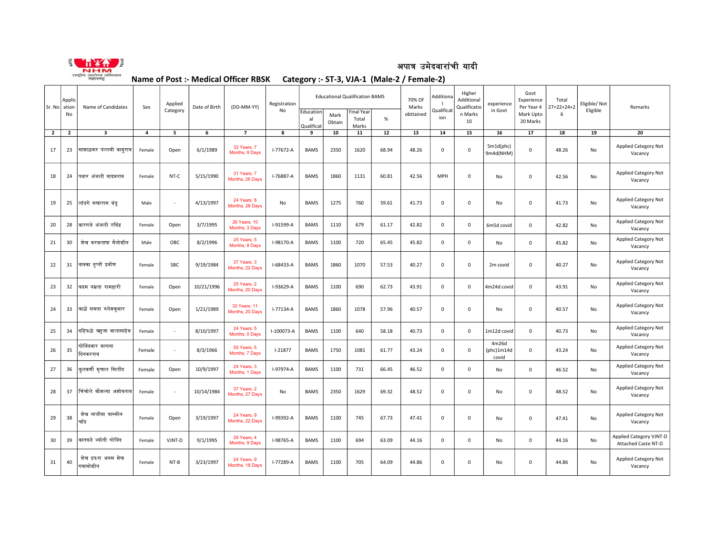

### अपात्र उमेदवारांची यादी

#### Name of Post :- Medical Officer RBSK Category :- ST-3, VJA-1 (Male-2 / Female-2)

| Sr. No         | Applic<br>ation | Name of Candidates             | Sex    | Applied  | Date of Birth | (DD-MM-YY)                      | Registration    |                               |                | <b>Educational Qualification BAMS</b> |        | 70% Of<br>Marks | Additiona         | Higher<br>Additional<br>Qualificatio<br>n Marks<br>10 | experience<br>in Govt        | Govt<br>Experience<br>Per Year 4<br>Mark Upto<br>20 Marks | Total<br>$27=22+24+2$ | Eligible/ Not | Remarks                                        |
|----------------|-----------------|--------------------------------|--------|----------|---------------|---------------------------------|-----------------|-------------------------------|----------------|---------------------------------------|--------|-----------------|-------------------|-------------------------------------------------------|------------------------------|-----------------------------------------------------------|-----------------------|---------------|------------------------------------------------|
|                | No              |                                |        | Category |               |                                 | No              | Education<br>al<br>Qualificat | Mark<br>Obtain | Final Year<br>Total<br>Marks          | $\%$   | obttained       | Qualificat<br>ion |                                                       |                              |                                                           | 6                     | Eligible      |                                                |
| $\overline{2}$ | 2               | 3                              | 4      | 5        | 6             | $\overline{7}$                  | 8               | 9                             | 10             | 11                                    | $12\,$ | 13              | 14                | 15                                                    | 16                           | 17                                                        | 18                    | 19            | 20                                             |
| 17             | 23              | माशाळकर पल्लवी बाबराव          | Female | Open     | 6/1/1989      | 32 Years, 7<br>Months, 9 Days   | $I - 77672 - A$ | <b>BAMS</b>                   | 2350           | 1620                                  | 68.94  | 48.26           | $\Omega$          | $\mathbf 0$                                           | 5m1d(phc)<br>9m4d(NHM)       | $\mathbf 0$                                               | 48.26                 | No            | Applied Category Not<br>Vacancy                |
| 18             | 24              | पवार अंजली यादवराव             | Female | NT-C     | 5/15/1990     | 31 Years, 7<br>Months, 26 Days  | I-76887-A       | <b>BAMS</b>                   | 1860           | 1131                                  | 60.81  | 42.56           | <b>MPH</b>        | $\mathsf 0$                                           | No                           | $\mathbf 0$                                               | 42.56                 | No            | Applied Category Not<br>Vacancy                |
| 19             | 25              | लांडगे सखाराम बंड्             | Male   | ٠        | 4/13/1997     | 24 Years, 8<br>Months, 28 Days  | No              | <b>BAMS</b>                   | 1275           | 760                                   | 59.61  | 41.73           | $\Omega$          | 0                                                     | No                           | $\mathsf 0$                                               | 41.73                 | No            | Applied Category Not<br>Vacancy                |
| 20             | 28              | बारगजे अंजली रविंद्र           | Female | Open     | 3/7/1995      | 26 Years, 10<br>Months, 3 Days  | I-91599-A       | <b>BAMS</b>                   | 1110           | 679                                   | 61.17  | 42.82           | 0                 | $\mathbf 0$                                           | 6m5d covid                   | $\mathbf 0$                                               | 42.82                 | No            | Applied Category Not<br>Vacancy                |
| 21             | 30              | शेख करबलाषा मैनोद्यीन          | Male   | OBC      | 8/2/1996      | 25 Years, 5<br>Months, 8 Days   | I-98170-A       | <b>BAMS</b>                   | 1100           | 720                                   | 65.45  | 45.82           | 0                 | $\mathbf{0}$                                          | No                           | $\mathbf 0$                                               | 45.82                 | No            | Applied Category Not<br>Vacancy                |
| 22             | 31              | नाक्का तृप्ती प्रवीण           | Female | SBC      | 9/19/1984     | 37 Years, 3<br>Months, 22 Days  | I-68433-A       | <b>BAMS</b>                   | 1860           | 1070                                  | 57.53  | 40.27           | $\mathbf 0$       | $\mathsf 0$                                           | 2m covid                     | $\mathsf 0$                                               | 40.27                 | No            | Applied Category Not<br>Vacancy                |
| 23             | 32              | कदम नम्रता रामहारी             | Female | Open     | 10/21/1996    | 25 Years, 2<br>Months, 20 Days  | I-93629-A       | <b>BAMS</b>                   | 1100           | 690                                   | 62.73  | 43.91           | 0                 | $\mathsf{o}$                                          | 4m24d covid                  | $\mathsf 0$                                               | 43.91                 | No            | Applied Category Not<br>Vacancy                |
| 24             | 33              | काळे समता रुपेशकुमार           | Female | Open     | 1/21/1989     | 32 Years, 11<br>Months, 20 Days | $I - 77134 - A$ | <b>BAMS</b>                   | 1860           | 1078                                  | 57.96  | 40.57           | $\Omega$          | $\mathbf{0}$                                          | No                           | $\mathbf 0$                                               | 40.57                 | No            | Applied Category Not<br>Vacancy                |
| 25             | 34              | दहिफळे ऋाजा बालासाहेब          | Female | ×        | 8/10/1997     | 24 Years, 5<br>Months, 0 Days   | I-100073-A      | <b>BAMS</b>                   | 1100           | 640                                   | 58.18  | 40.73           | 0                 | $\mathbf 0$                                           | 1m12d covid                  | $\mathbf 0$                                               | 40.73                 | No            | Applied Category Not<br>Vacancy                |
| 26             | 35              | गोविंदवार कल्पना<br>दिनकरराव   | Female | ٠        | 8/3/1966      | 55 Years, 5<br>Months, 7 Days   | $I-21877$       | <b>BAMS</b>                   | 1750           | 1081                                  | 61.77  | 43.24           | 0                 | $\mathsf{o}$                                          | 4m26d<br>(phc)1m14d<br>covid | $\mathsf 0$                                               | 43.24                 | No            | Applied Category Not<br>Vacancy                |
| 27             | 36              | कुलकर्णी मृणाल मिलींद          | Female | Open     | 10/9/1997     | 24 Years, 3<br>Months, 1 Days   | I-97974-A       | <b>BAMS</b>                   | 1100           | 731                                   | 66.45  | 46.52           | 0                 | $\mathsf 0$                                           | No                           | $\mathsf 0$                                               | 46.52                 | No            | Applied Category Not<br>Vacancy                |
| 28             | 37              | चिंचोले कौशल्या अशोकराव        | Female | ٠        | 10/14/1984    | 37 Years, 2<br>Months, 27 Days  | No              | <b>BAMS</b>                   | 2350           | 1629                                  | 69.32  | 48.52           | $\Omega$          | $\mathbf{0}$                                          | No                           | $\mathsf 0$                                               | 48.52                 | No            | Applied Category Not<br>Vacancy                |
| 29             | 38              | शेख नाजीया यास्मीन<br>चॉंद     | Female | Open     | 3/19/1997     | 24 Years, 9<br>Months, 22 Days  | I-99392-A       | <b>BAMS</b>                   | 1100           | 745                                   | 67.73  | 47.41           | 0                 | $\mathsf 0$                                           | No                           | 0                                                         | 47.41                 | No            | Applied Category Not<br>Vacancy                |
| 30             | 39              | कातकडे ज्योती गोविंद           | Female | VJNT-D   | 9/1/1995      | 26 Years, 4<br>Months, 9 Days   | I-98765-A       | <b>BAMS</b>                   | 1100           | 694                                   | 63.09  | 44.16           | 0                 | $\mathsf{o}$                                          | No                           | 0                                                         | 44.16                 | No            | Applied Category VJNT-D<br>Attached Caste NT-D |
| 31             | 40              | शेख इफरा अनम शेख<br>गयासोद्यीन | Female | $NT-B$   | 3/23/1997     | 24 Years, 9<br>Months, 18 Days  | I-77289-A       | <b>BAMS</b>                   | 1100           | 705                                   | 64.09  | 44.86           | 0                 | $\mathsf 0$                                           | No                           | $\mathbf 0$                                               | 44.86                 | No            | Applied Category Not<br>Vacancy                |